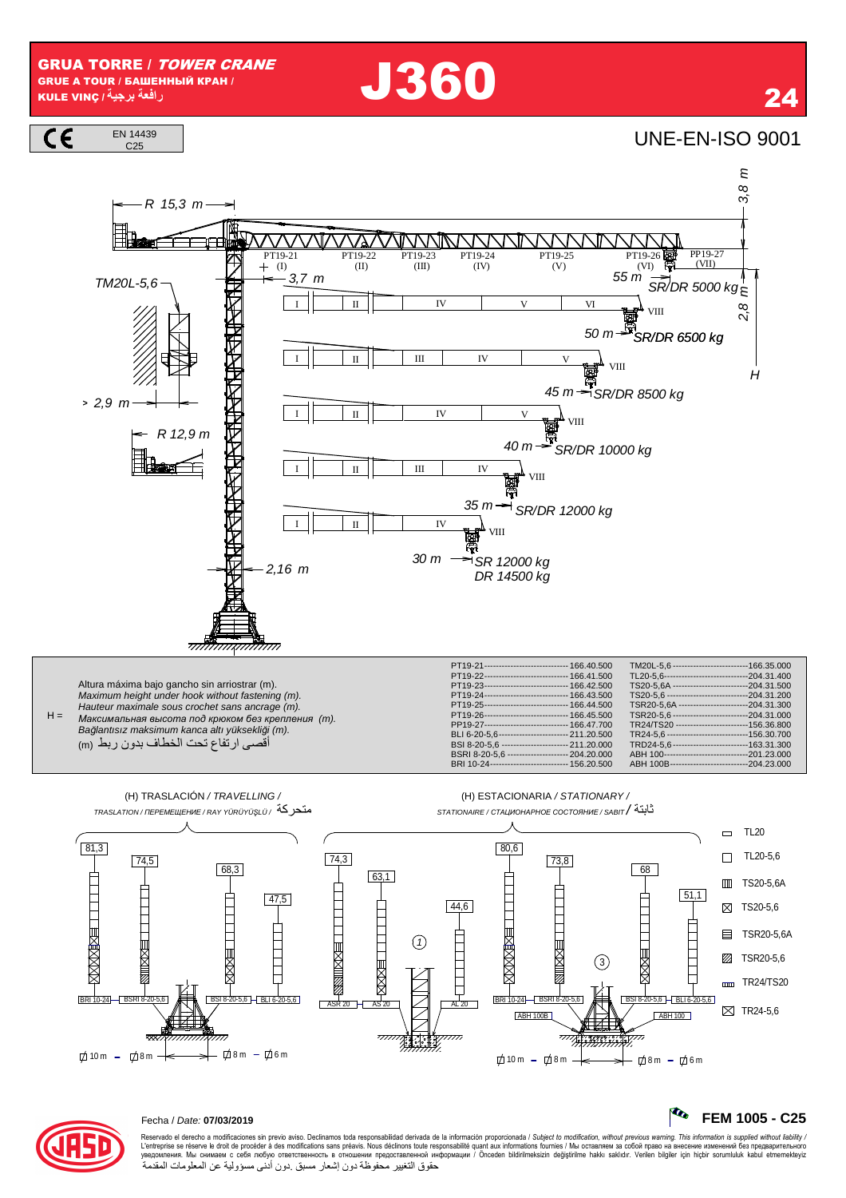**GRUA TORRE / TOWER CRANE GRUE A TOUR / БАШЕННЫЙ КРАН /** رافعة برجية / KULE VINÇ

 $C.25$ 

# **J360**

## **UNE-EN-ISO 9001**

24







### Rto FEM 1005 - C25



## Fecha / Date: 07/03/2019

Reservado el derecho a modificaciones sin previo aviso. Declinamos toda responsabilidad derivada de la información proporcionada / Subject to modification, without previous warning. This information is supplied without li حقوق التغيير محفوظة دون إشعار مسبق دون أدنى مسؤولية عن المعلومات المقدمة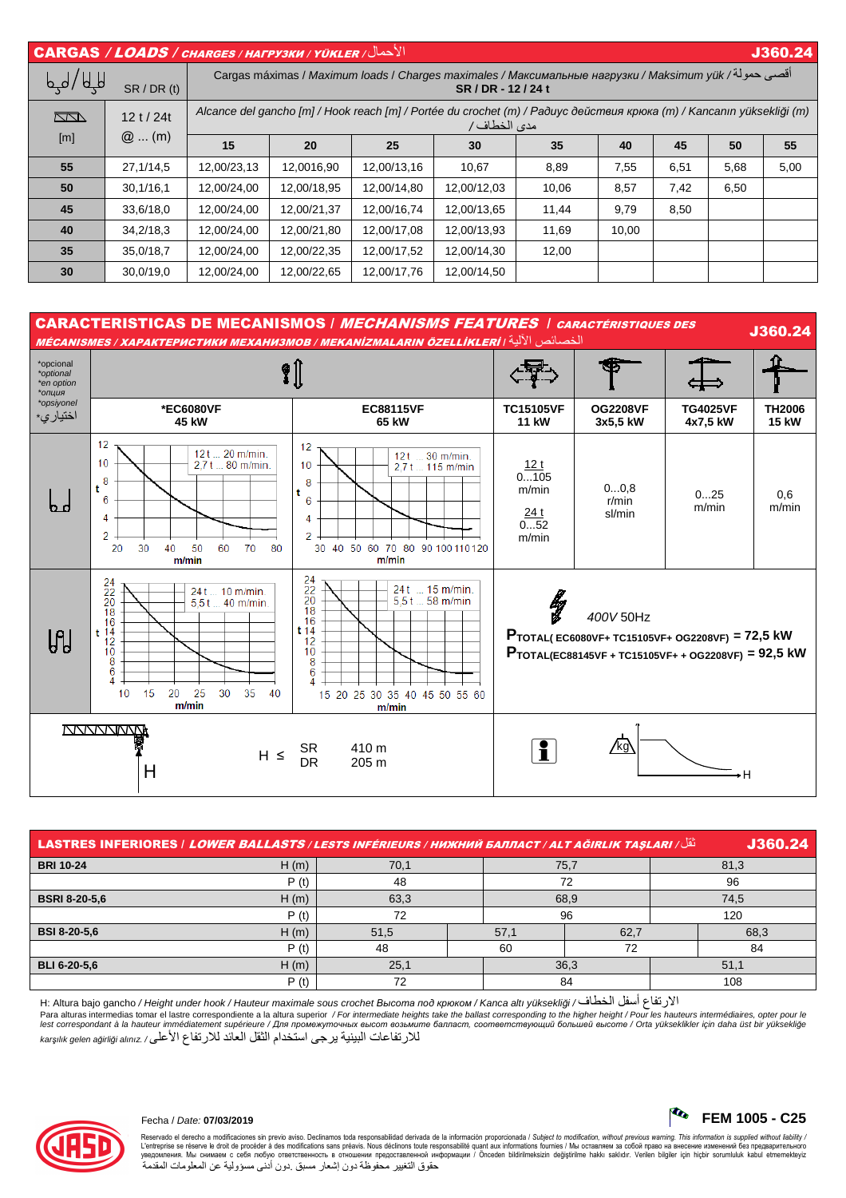| الأحمال/ CARGAS / LOADS / CHARGES / HAFPY3KH / YÜKLER<br>J360.24                                                                                        |                    |                                                                                                                                      |             |             |             |       |       |      |      |      |
|---------------------------------------------------------------------------------------------------------------------------------------------------------|--------------------|--------------------------------------------------------------------------------------------------------------------------------------|-------------|-------------|-------------|-------|-------|------|------|------|
| أقصى حمولة/ Cargas máximas / Maximum loads / Charges maximales / Максимальные нагрузки / Maksimum yük<br>لهها / للها<br>SR/DR(t)<br>SR / DR - 12 / 24 t |                    |                                                                                                                                      |             |             |             |       |       |      |      |      |
| $\Box$<br>$\lceil m \rceil$                                                                                                                             | 12t/24t<br>$@$ (m) | Alcance del gancho [m] / Hook reach [m] / Portée du crochet (m) / Paðuyc действия крюка (m) / Kancanın yüksekliği (m)<br>مدى الخطاف/ |             |             |             |       |       |      |      |      |
|                                                                                                                                                         |                    | 15                                                                                                                                   | 20          | 25          | 30          | 35    | 40    | 45   | 50   | 55   |
| 55                                                                                                                                                      | 27,1/14,5          | 12,00/23,13                                                                                                                          | 12,0016,90  | 12,00/13,16 | 10,67       | 8,89  | 7,55  | 6,51 | 5,68 | 5,00 |
| 50                                                                                                                                                      | 30,1/16,1          | 12,00/24,00                                                                                                                          | 12,00/18,95 | 12,00/14,80 | 12,00/12,03 | 10,06 | 8,57  | 7,42 | 6,50 |      |
| 45                                                                                                                                                      | 33,6/18,0          | 12,00/24,00                                                                                                                          | 12,00/21,37 | 12,00/16,74 | 12,00/13,65 | 11,44 | 9,79  | 8,50 |      |      |
| 40                                                                                                                                                      | 34,2/18,3          | 12,00/24,00                                                                                                                          | 12,00/21,80 | 12,00/17,08 | 12,00/13,93 | 11,69 | 10,00 |      |      |      |
| 35                                                                                                                                                      | 35.0/18.7          | 12,00/24,00                                                                                                                          | 12,00/22,35 | 12,00/17,52 | 12,00/14,30 | 12,00 |       |      |      |      |
| 30                                                                                                                                                      | 30,0/19,0          | 12,00/24,00                                                                                                                          | 12,00/22,65 | 12,00/17,76 | 12,00/14,50 |       |       |      |      |      |



| J360.24<br>نَّقَا / LASTRES INFERIORES / <i>LOWER BALLASTS / LESTS INFÉRIEURS / HИЖНИЙ БАЛЛАСТ / ALT AĞIRLIK TASLARI</i> |      |      |  |      |      |      |      |  |
|--------------------------------------------------------------------------------------------------------------------------|------|------|--|------|------|------|------|--|
| <b>BRI 10-24</b>                                                                                                         | H(m) | 70,1 |  |      | 75,7 | 81,3 |      |  |
|                                                                                                                          | P(t) | 48   |  | 72   |      | 96   |      |  |
| <b>BSRI 8-20-5.6</b>                                                                                                     | H(m) | 63,3 |  | 68,9 |      | 74,5 |      |  |
|                                                                                                                          | P(t) | 72   |  | 96   |      | 120  |      |  |
| <b>BSI 8-20-5,6</b>                                                                                                      | H(m) | 51,5 |  | 57,1 | 62,7 |      | 68,3 |  |
|                                                                                                                          | P(t) | 48   |  | 60   | 72   |      | 84   |  |
| <b>BLI 6-20-5.6</b>                                                                                                      | H(m) | 25,1 |  | 36,3 |      |      | 51,1 |  |
|                                                                                                                          | P(t) | 72   |  | 84   |      |      | 108  |  |

H: Altura bajo gancho / Height under hook / Hauteur maximale sous crochet Bыcoma под крюком / Kanca altı yüksekliği / الأرتفاع أسفل الخطاف/ H: Altura bajo gancho<br>Para alturas intermedias tomar el lastre correspondiente a lest correspondant à la hauteur immédiatement supérieure / Для промежуточных высот возьмите балласт, соответствующий большей высоте / Orta yükseklikler için daha üst bir yüksekliğe للار تفاعات البينية ير جي استخدام الثقل العائد للار تفاع الأعلى/ karşılık gelen ağirliği alınız



Reservado el derecho a modificaciones sin previo aviso. Declinamos toda responsabilidad derivada de la información proporcionada / Subjec*t to modification, without previous warning. This information is supplied without l* حقوق التغيير محفوظة دون إشعار مسبق دون أدنى مسؤولية عن المعلومات المقدمة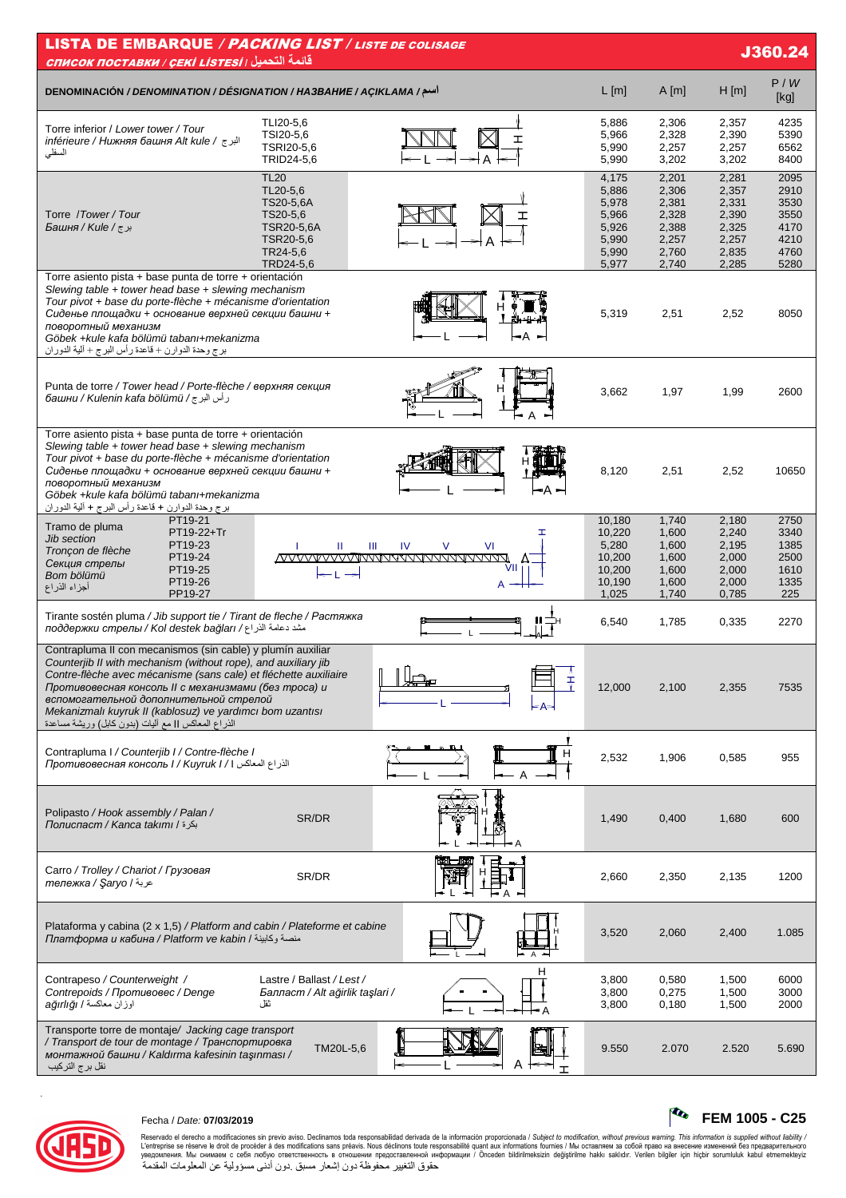| <b>LISTA DE EMBARQUE / PACKING LIST / LISTE DE COLISAGE</b><br>J360.24<br><u> CПИСОК ПОСТАВКИ / ÇEKİ LISTESI   التحميل</u>                                                                                                                                                                                                                                                                                              |                                                                                                      |                    |                                                                      |                                                                      |                                                                      |                                                              |  |  |
|-------------------------------------------------------------------------------------------------------------------------------------------------------------------------------------------------------------------------------------------------------------------------------------------------------------------------------------------------------------------------------------------------------------------------|------------------------------------------------------------------------------------------------------|--------------------|----------------------------------------------------------------------|----------------------------------------------------------------------|----------------------------------------------------------------------|--------------------------------------------------------------|--|--|
| DENOMINACIÓN / DENOMINATION / DÉSIGNATION / HA3BAHUE / AÇIKLAMA / اسم                                                                                                                                                                                                                                                                                                                                                   |                                                                                                      |                    | L[m]                                                                 | A[m]                                                                 | H[m]                                                                 | P/W<br>[kg]                                                  |  |  |
| Torre inferior / Lower tower / Tour<br>inférieure / Нижняя башня Alt kule / البرج<br>السفلى                                                                                                                                                                                                                                                                                                                             | TLI20-5,6<br>TSI20-5,6<br>TSRI20-5,6<br>TRID24-5,6                                                   | ェ                  | 5,886<br>5,966<br>5,990<br>5,990                                     | 2,306<br>2,328<br>2,257<br>3,202                                     | 2,357<br>2,390<br>2,257<br>3,202                                     | 4235<br>5390<br>6562<br>8400                                 |  |  |
| Torre /Tower/Tour<br>برج/ Башня / Kule /                                                                                                                                                                                                                                                                                                                                                                                | <b>TL20</b><br>TL20-5,6<br>TS20-5,6A<br>TS20-5,6<br>TSR20-5,6A<br>TSR20-5,6<br>TR24-5,6<br>TRD24-5,6 |                    | 4,175<br>5,886<br>5,978<br>5,966<br>5,926<br>5,990<br>5,990<br>5,977 | 2,201<br>2,306<br>2,381<br>2,328<br>2,388<br>2,257<br>2,760<br>2,740 | 2,281<br>2,357<br>2,331<br>2,390<br>2,325<br>2,257<br>2,835<br>2,285 | 2095<br>2910<br>3530<br>3550<br>4170<br>4210<br>4760<br>5280 |  |  |
| Torre asiento pista + base punta de torre + orientación<br>Slewing table + tower head base + slewing mechanism<br>Tour pivot + base du porte-flèche + mécanisme d'orientation<br>Сиденье площадки + основание верхней секции башни +<br>поворотный механизм<br>Göbek +kule kafa bölümü tabanı+mekanizma<br>برج وحدة الدوارن + قاعدة رأس البرج + ألية الدوران                                                            |                                                                                                      | •A                 | 5,319                                                                | 2,51                                                                 | 2,52                                                                 | 8050                                                         |  |  |
| Punta de torre / Tower head / Porte-flèche / верхняя секция<br>رأس البرج/ башни / Kulenin kafa bölümü                                                                                                                                                                                                                                                                                                                   |                                                                                                      | н                  | 3,662                                                                | 1,97                                                                 | 1,99                                                                 | 2600                                                         |  |  |
| Torre asiento pista + base punta de torre + orientación<br>Slewing table $+$ tower head base $+$ slewing mechanism<br>Tour pivot + base du porte-flèche + mécanisme d'orientation<br>Сиденье площадки + основание верхней секции башни +<br>поворотный механизм<br>Göbek +kule kafa bölümü tabanı+mekanizma<br>برج وحدة الدوارن + قاعدة رأس البرج + ألية الدوران                                                        |                                                                                                      |                    | 8,120                                                                | 2,51                                                                 | 2,52                                                                 | 10650                                                        |  |  |
| PT19-21<br>Tramo de pluma<br>PT19-22+Tr<br><b>Jib section</b><br>PT19-23<br>Tronçon de flèche<br>PT19-24<br>Секция стрелы<br>PT19-25<br>Bom bölümü<br>PT19-26<br>أجزاء الذراع<br>PP19-27                                                                                                                                                                                                                                | Ш<br>Ш<br>l →                                                                                        | ェ<br>V<br>VI<br>IV | 10,180<br>10,220<br>5,280<br>10,200<br>10,200<br>10,190<br>1,025     | 1,740<br>1,600<br>1,600<br>1,600<br>1,600<br>1,600<br>1,740          | 2,180<br>2,240<br>2,195<br>2,000<br>2,000<br>2,000<br>0,785          | 2750<br>3340<br>1385<br>2500<br>1610<br>1335<br>225          |  |  |
| Tirante sostén pluma / Jib support tie / Tirant de fleche / Растяжка<br>поддержки стрелы / Kol destek bağları / اسم الدر اع ام                                                                                                                                                                                                                                                                                          |                                                                                                      |                    | 6,540                                                                | 1,785                                                                | 0,335                                                                | 2270                                                         |  |  |
| Contrapluma II con mecanismos (sin cable) y plumín auxiliar<br>Counterjib II with mechanism (without rope), and auxiliary jib<br>Contre-flèche avec mécanisme (sans cale) et fléchette auxiliaire<br>Противовесная консоль II с механизмами (без троса) и<br>вспомогательной дополнительной стрелой<br>Mekanizmalı kuyruk II (kablosuz) ve yardımcı bom uzantısı<br>الذراع المعاكس ll مع أليات (بدون كابل) وريشة مساعدة |                                                                                                      | п пП<br>Ŧ          | 12,000                                                               | 2,100                                                                | 2,355                                                                | 7535                                                         |  |  |
| Contrapluma I / Counterjib I / Contre-flèche I<br>الذراع المعاكس 1/ Гротивовесная консоль 1/ Киугик 1/ 1                                                                                                                                                                                                                                                                                                                |                                                                                                      |                    | 2,532                                                                | 1,906                                                                | 0,585                                                                | 955                                                          |  |  |
| Polipasto / Hook assembly / Palan /<br>بكرة / Полиспаст / Kanca takımı                                                                                                                                                                                                                                                                                                                                                  | SR/DR                                                                                                |                    | 1,490                                                                | 0,400                                                                | 1,680                                                                | 600                                                          |  |  |
| Carro / Trolley / Chariot / Грузовая<br>عربة / meлeжкa / Şaryo                                                                                                                                                                                                                                                                                                                                                          | SR/DR                                                                                                |                    | 2,660                                                                | 2,350                                                                | 2,135                                                                | 1200                                                         |  |  |
| Plataforma y cabina (2 x 1,5) / Platform and cabin / Plateforme et cabine<br>منصة وكابينة / Платформа и кабина / Platform ve kabin                                                                                                                                                                                                                                                                                      |                                                                                                      |                    | 3,520                                                                | 2,060                                                                | 2,400                                                                | 1.085                                                        |  |  |
| Contrapeso / Counterweight /<br>Contrepoids / Противовес / Denge<br>اوزان معاكسة / ağırlığı                                                                                                                                                                                                                                                                                                                             | Lastre / Ballast / Lest /<br>Балласт / Alt ağirlik taşlari /<br>ثقل                                  | н                  | 3,800<br>3,800<br>3,800                                              | 0,580<br>0,275<br>0,180                                              | 1,500<br>1,500<br>1,500                                              | 6000<br>3000<br>2000                                         |  |  |
| Transporte torre de montaje/ Jacking cage transport<br>/ Transport de tour de montage / Транспортировка<br>монтажной башни / Kaldırma kafesinin taşınması /<br>نقل بر ج التر کیب                                                                                                                                                                                                                                        | TM20L-5,6                                                                                            |                    | 9.550                                                                | 2.070                                                                | 2.520                                                                | 5.690                                                        |  |  |



.

# Fecha / Date: **07/03/2019 FEM 1005 - C25**

Reservado el derecho a modificaciones sin previo aviso. Declinamos toda responsabilidad derivada de la información proporcionada / Subjec*t to modification, without previous warning. This information is supplied without*